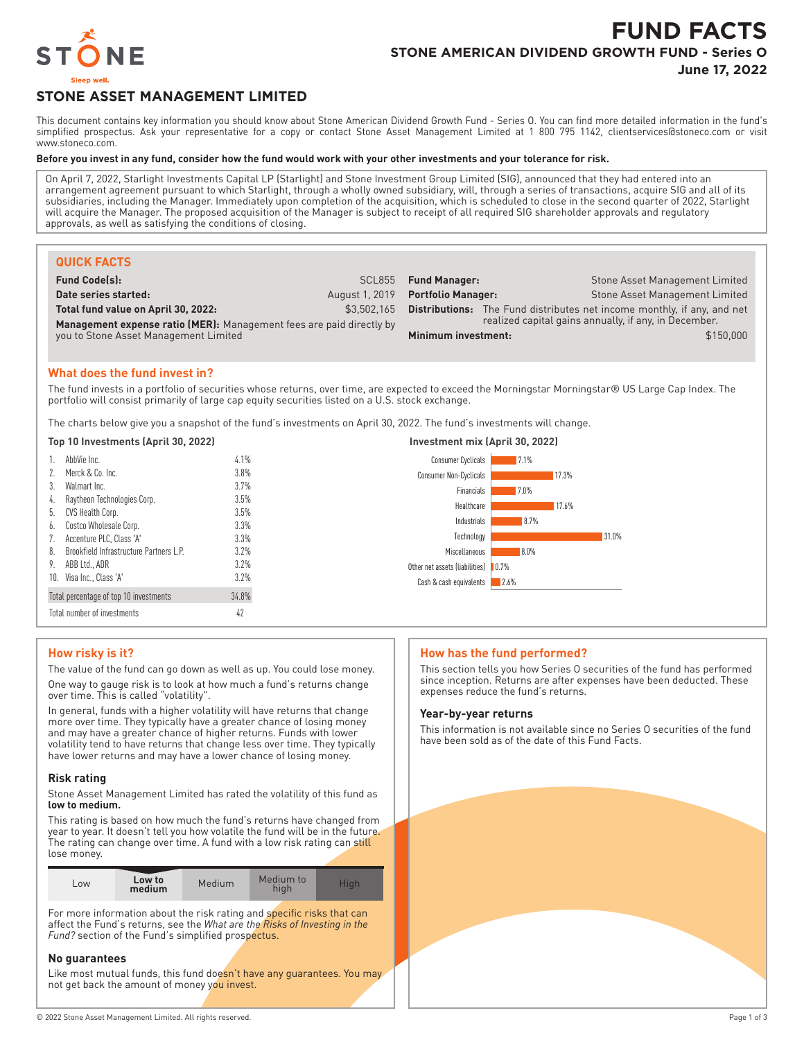

# **FUND FACTS STONE AMERICAN DIVIDEND GROWTH FUND - Series O**

**June 17, 2022**

## **STONE ASSET MANAGEMENT LIMITED**

This document contains key information you should know about Stone American Dividend Growth Fund - Series O. You can find more detailed information in the fund's simplified prospectus. Ask your representative for a copy or contact Stone Asset Management Limited at 1 800 795 1142, clientservices@stoneco.com or visit www.stoneco.com.

#### **Before you invest in any fund, consider how the fund would work with your other investments and your tolerance for risk.**

On April 7, 2022, Starlight Investments Capital LP (Starlight) and Stone Investment Group Limited (SIG), announced that they had entered into an arrangement agreement pursuant to which Starlight, through a wholly owned subsidiary, will, through a series of transactions, acquire SIG and all of its subsidiaries, including the Manager. Immediately upon completion of the acquisition, which is scheduled to close in the second quarter of 2022, Starlight will acquire the Manager. The proposed acquisition of the Manager is subject to receipt of all required SIG shareholder approvals and regulatory approvals, as well as satisfying the conditions of closing.

| <b>QUICK FACTS</b>                                                                                                 |                |                           |  |                                                                                                                                         |
|--------------------------------------------------------------------------------------------------------------------|----------------|---------------------------|--|-----------------------------------------------------------------------------------------------------------------------------------------|
| <b>Fund Code(s):</b>                                                                                               | SCL855         | <b>Fund Manager:</b>      |  | Stone Asset Management Limited                                                                                                          |
| Date series started:                                                                                               | August 1, 2019 | <b>Portfolio Manager:</b> |  | Stone Asset Management Limited                                                                                                          |
| Total fund value on April 30, 2022:<br><b>Management expense ratio (MER):</b> Management fees are paid directly by | \$3,502,165    |                           |  | <b>Distributions:</b> The Fund distributes net income monthly, if any, and net<br>realized capital gains annually, if any, in December. |
| you to Stone Asset Management Limited                                                                              |                | Minimum investment:       |  | \$150,000                                                                                                                               |

## **What does the fund invest in?**

The fund invests in a portfolio of securities whose returns, over time, are expected to exceed the Morningstar Morningstar® US Large Cap Index. The portfolio will consist primarily of large cap equity securities listed on a U.S. stock exchange.

The charts below give you a snapshot of the fund's investments on April 30, 2022. The fund's investments will change.

**Top 10 Investments (April 30, 2022) Investment mix (April 30, 2022)**

| TOD TU INVESTMENTS (ADFIL 30, ZUZZ) |                                         |         | INVESTMENT MIX (APFIL 30, ZUZZ)        |  |  |
|-------------------------------------|-----------------------------------------|---------|----------------------------------------|--|--|
|                                     | AbbVie Inc.                             | 4.1%    | <b>Consumer Cyclicals</b><br>7.1%      |  |  |
|                                     | 2. Merck & Co. Inc.                     | 3.8%    | <b>Consumer Non-Cyclicals</b><br>17.3% |  |  |
| 3.                                  | Walmart Inc.                            | 3.7%    | Financials<br>7.0%                     |  |  |
|                                     | 4. Raytheon Technologies Corp.          | 3.5%    | Healthcare<br>17.6%                    |  |  |
|                                     | 5. CVS Health Corp.                     | 3.5%    |                                        |  |  |
|                                     | 6. Costco Wholesale Corp.               | 3.3%    | Industrials<br>8.7%                    |  |  |
|                                     | Accenture PLC, Class 'A'                | 3.3%    | 31.0%<br>Technology                    |  |  |
| 8.                                  | Brookfield Infrastructure Partners L.P. | 3.2%    | 8.0%<br>Miscellaneous                  |  |  |
|                                     | 9. ABB Ltd., ADR                        | $3.2\%$ | Other net assets (liabilities) 0.7%    |  |  |
|                                     | 10. Visa Inc., Class 'A'                | 3.2%    | Cash & cash equivalents<br>2.6%        |  |  |
|                                     | Total percentage of top 10 investments  | 34.8%   |                                        |  |  |
|                                     | Total number of investments             | 42      |                                        |  |  |

## **How risky is it?**

The value of the fund can go down as well as up. You could lose money. One way to gauge risk is to look at how much a fund's returns change over time. This is called "volatility".

In general, funds with a higher volatility will have returns that change more over time. They typically have a greater chance of losing money and may have a greater chance of higher returns. Funds with lower volatility tend to have returns that change less over time. They typically have lower returns and may have a lower chance of losing money.

#### **Risk rating**

Stone Asset Management Limited has rated the volatility of this fund as **low to medium.**

This rating is based on how much the fund's returns have changed from year to year. It doesn't tell you how volatile the fund will be in the future. The rating can change over time. A fund with a low risk rating can still lose money.

| Low to<br>LOW<br>medium | Medium | Medium to<br>high | Hiah |
|-------------------------|--------|-------------------|------|
|-------------------------|--------|-------------------|------|

For more information about the risk rating and specific risks that can affect the Fund's returns, see the *What are the Risks of Investing in the Fund?* section of the Fund's simplified prospectus.

### **No guarantees**

Like most mutual funds, this fund doesn't have any guarantees. You may not get back the amount of money you invest.

## **How has the fund performed?**

This section tells you how Series O securities of the fund has performed since inception. Returns are after expenses have been deducted. These expenses reduce the fund's returns.

## **Year-by-year returns**

This information is not available since no Series O securities of the fund have been sold as of the date of this Fund Facts.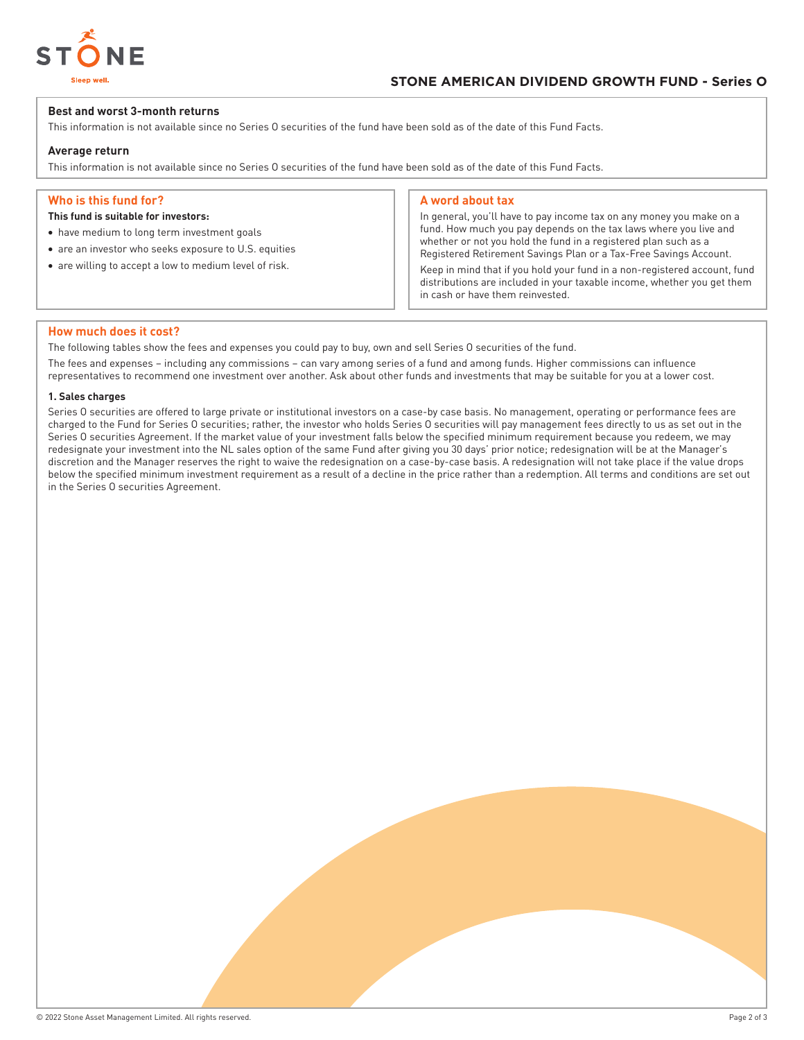

## **Best and worst 3-month returns**

This information is not available since no Series O securities of the fund have been sold as of the date of this Fund Facts.

## **Average return**

This information is not available since no Series O securities of the fund have been sold as of the date of this Fund Facts.

## **Who is this fund for?**

## **This fund is suitable for investors:**

- have medium to long term investment goals
- are an investor who seeks exposure to U.S. equities
- are willing to accept a low to medium level of risk.

## **A word about tax**

In general, you'll have to pay income tax on any money you make on a fund. How much you pay depends on the tax laws where you live and whether or not you hold the fund in a registered plan such as a Registered Retirement Savings Plan or a Tax-Free Savings Account.

Keep in mind that if you hold your fund in a non-registered account, fund distributions are included in your taxable income, whether you get them in cash or have them reinvested.

#### **How much does it cost?**

The following tables show the fees and expenses you could pay to buy, own and sell Series O securities of the fund.

The fees and expenses – including any commissions – can vary among series of a fund and among funds. Higher commissions can influence representatives to recommend one investment over another. Ask about other funds and investments that may be suitable for you at a lower cost.

#### **1. Sales charges**

Series O securities are offered to large private or institutional investors on a case-by case basis. No management, operating or performance fees are charged to the Fund for Series O securities; rather, the investor who holds Series O securities will pay management fees directly to us as set out in the Series O securities Agreement. If the market value of your investment falls below the specified minimum requirement because you redeem, we may redesignate your investment into the NL sales option of the same Fund after giving you 30 days' prior notice; redesignation will be at the Manager's discretion and the Manager reserves the right to waive the redesignation on a case-by-case basis. A redesignation will not take place if the value drops below the specified minimum investment requirement as a result of a decline in the price rather than a redemption. All terms and conditions are set out in the Series O securities Agreement.